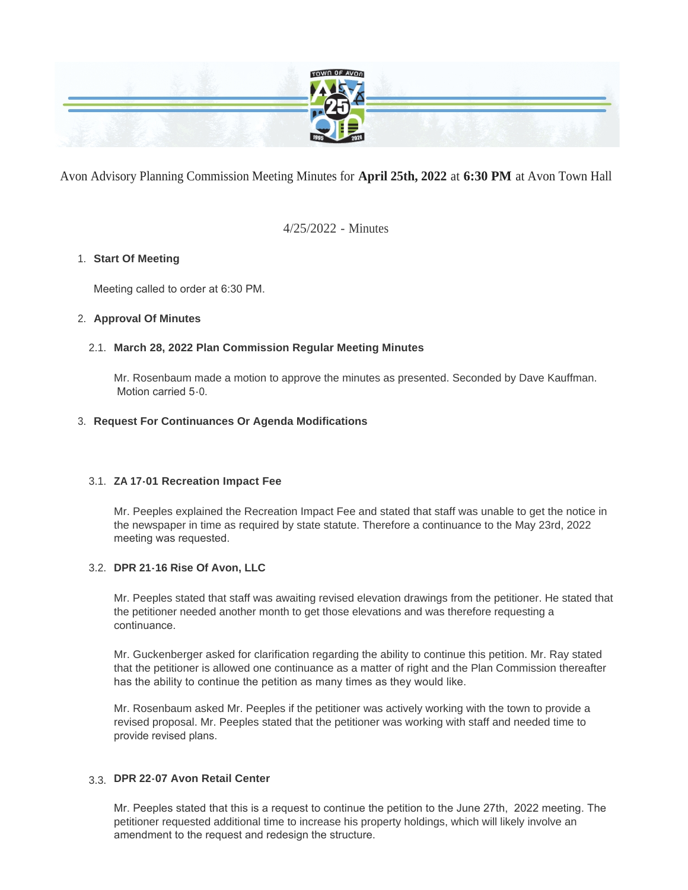

Avon Advisory Planning Commission Meeting Minutes for **April 25th, 2022** at **6:30 PM** at Avon Town Hall

4/25/2022 - Minutes

### **Start Of Meeting** 1.

Meeting called to order at 6:30 PM.

### **Approval Of Minutes** 2.

### **March 28, 2022 Plan Commission Regular Meeting Minutes** 2.1.

Mr. Rosenbaum made a motion to approve the minutes as presented. Seconded by Dave Kauffman. Motion carried 5-0.

### **Request For Continuances Or Agenda Modifications** 3.

### **ZA 17-01 Recreation Impact Fee** 3.1.

Mr. Peeples explained the Recreation Impact Fee and stated that staff was unable to get the notice in the newspaper in time as required by state statute. Therefore a continuance to the May 23rd, 2022 meeting was requested.

### **DPR 21-16 Rise Of Avon, LLC** 3.2.

Mr. Peeples stated that staff was awaiting revised elevation drawings from the petitioner. He stated that the petitioner needed another month to get those elevations and was therefore requesting a continuance.

Mr. Guckenberger asked for clarification regarding the ability to continue this petition. Mr. Ray stated that the petitioner is allowed one continuance as a matter of right and the Plan Commission thereafter has the ability to continue the petition as many times as they would like.

Mr. Rosenbaum asked Mr. Peeples if the petitioner was actively working with the town to provide a revised proposal. Mr. Peeples stated that the petitioner was working with staff and needed time to provide revised plans.

## **DPR 22-07 Avon Retail Center**  3.3.

Mr. Peeples stated that this is a request to continue the petition to the June 27th, 2022 meeting. The petitioner requested additional time to increase his property holdings, which will likely involve an amendment to the request and redesign the structure.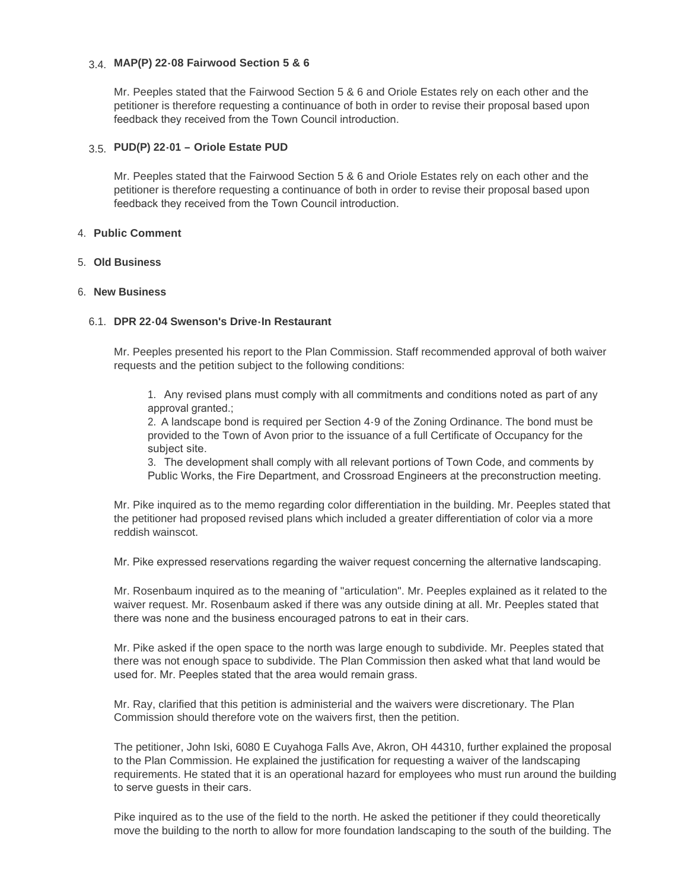## **MAP(P) 22-08 Fairwood Section 5 & 6**  3.4.

Mr. Peeples stated that the Fairwood Section 5 & 6 and Oriole Estates rely on each other and the petitioner is therefore requesting a continuance of both in order to revise their proposal based upon feedback they received from the Town Council introduction.

## **PUD(P) 22-01 – Oriole Estate PUD**  3.5.

Mr. Peeples stated that the Fairwood Section 5 & 6 and Oriole Estates rely on each other and the petitioner is therefore requesting a continuance of both in order to revise their proposal based upon feedback they received from the Town Council introduction.

#### **Public Comment** 4.

#### **Old Business** 5.

#### **New Business** 6.

#### **DPR 22-04 Swenson's Drive-In Restaurant** 6.1.

Mr. Peeples presented his report to the Plan Commission. Staff recommended approval of both waiver requests and the petition subject to the following conditions:

1. Any revised plans must comply with all commitments and conditions noted as part of any approval granted.;

2. A landscape bond is required per Section 4-9 of the Zoning Ordinance. The bond must be provided to the Town of Avon prior to the issuance of a full Certificate of Occupancy for the subject site.

3. The development shall comply with all relevant portions of Town Code, and comments by Public Works, the Fire Department, and Crossroad Engineers at the preconstruction meeting.

Mr. Pike inquired as to the memo regarding color differentiation in the building. Mr. Peeples stated that the petitioner had proposed revised plans which included a greater differentiation of color via a more reddish wainscot.

Mr. Pike expressed reservations regarding the waiver request concerning the alternative landscaping.

Mr. Rosenbaum inquired as to the meaning of "articulation". Mr. Peeples explained as it related to the waiver request. Mr. Rosenbaum asked if there was any outside dining at all. Mr. Peeples stated that there was none and the business encouraged patrons to eat in their cars.

Mr. Pike asked if the open space to the north was large enough to subdivide. Mr. Peeples stated that there was not enough space to subdivide. The Plan Commission then asked what that land would be used for. Mr. Peeples stated that the area would remain grass.

Mr. Ray, clarified that this petition is administerial and the waivers were discretionary. The Plan Commission should therefore vote on the waivers first, then the petition.

The petitioner, John Iski, 6080 E Cuyahoga Falls Ave, Akron, OH 44310, further explained the proposal to the Plan Commission. He explained the justification for requesting a waiver of the landscaping requirements. He stated that it is an operational hazard for employees who must run around the building to serve guests in their cars.

Pike inquired as to the use of the field to the north. He asked the petitioner if they could theoretically move the building to the north to allow for more foundation landscaping to the south of the building. The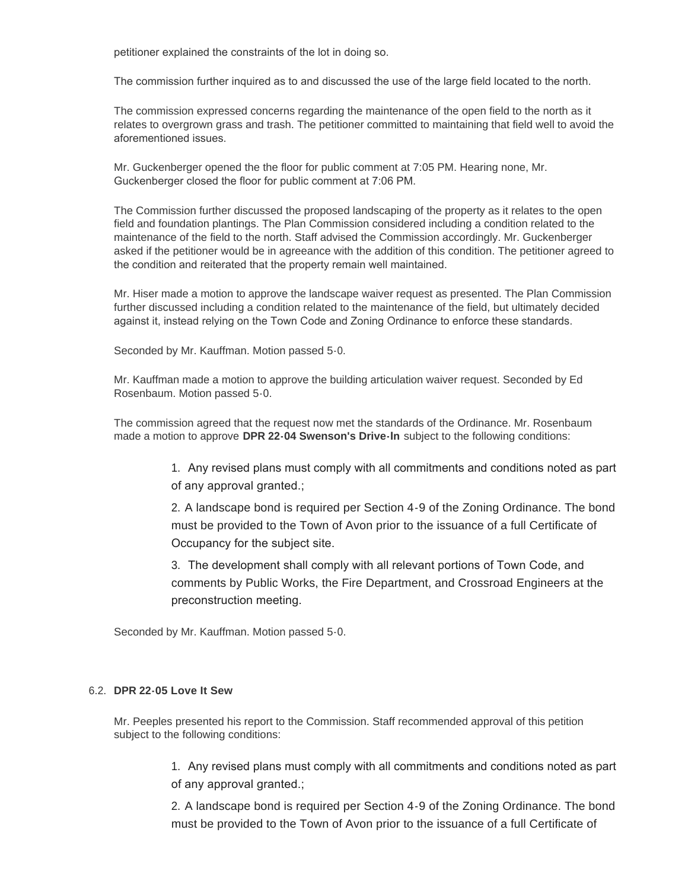petitioner explained the constraints of the lot in doing so.

The commission further inquired as to and discussed the use of the large field located to the north.

The commission expressed concerns regarding the maintenance of the open field to the north as it relates to overgrown grass and trash. The petitioner committed to maintaining that field well to avoid the aforementioned issues.

Mr. Guckenberger opened the the floor for public comment at 7:05 PM. Hearing none, Mr. Guckenberger closed the floor for public comment at 7:06 PM.

The Commission further discussed the proposed landscaping of the property as it relates to the open field and foundation plantings. The Plan Commission considered including a condition related to the maintenance of the field to the north. Staff advised the Commission accordingly. Mr. Guckenberger asked if the petitioner would be in agreeance with the addition of this condition. The petitioner agreed to the condition and reiterated that the property remain well maintained.

Mr. Hiser made a motion to approve the landscape waiver request as presented. The Plan Commission further discussed including a condition related to the maintenance of the field, but ultimately decided against it, instead relying on the Town Code and Zoning Ordinance to enforce these standards.

Seconded by Mr. Kauffman. Motion passed 5-0.

Mr. Kauffman made a motion to approve the building articulation waiver request. Seconded by Ed Rosenbaum. Motion passed 5-0.

The commission agreed that the request now met the standards of the Ordinance. Mr. Rosenbaum made a motion to approve **DPR 22-04 Swenson's Drive-In** subject to the following conditions:

> 1. Any revised plans must comply with all commitments and conditions noted as part of any approval granted.;

> 2. A landscape bond is required per Section 4-9 of the Zoning Ordinance. The bond must be provided to the Town of Avon prior to the issuance of a full Certificate of Occupancy for the subject site.

3. The development shall comply with all relevant portions of Town Code, and comments by Public Works, the Fire Department, and Crossroad Engineers at the preconstruction meeting.

Seconded by Mr. Kauffman. Motion passed 5-0.

#### **DPR 22-05 Love It Sew** 6.2.

Mr. Peeples presented his report to the Commission. Staff recommended approval of this petition subject to the following conditions:

> 1. Any revised plans must comply with all commitments and conditions noted as part of any approval granted.;

> 2. A landscape bond is required per Section 4-9 of the Zoning Ordinance. The bond must be provided to the Town of Avon prior to the issuance of a full Certificate of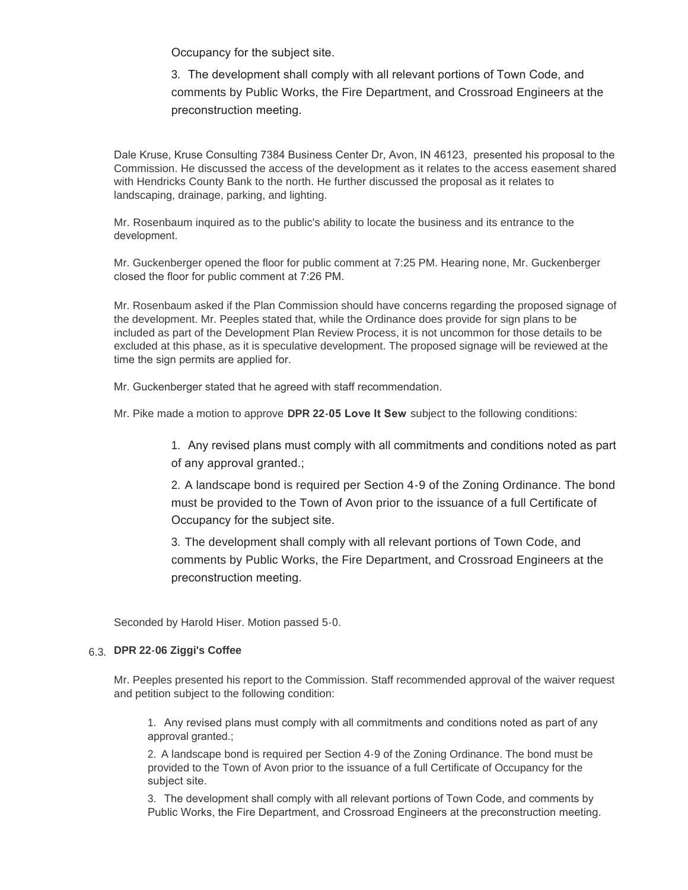Occupancy for the subject site.

3. The development shall comply with all relevant portions of Town Code, and comments by Public Works, the Fire Department, and Crossroad Engineers at the preconstruction meeting.

Dale Kruse, Kruse Consulting 7384 Business Center Dr, Avon, IN 46123, presented his proposal to the Commission. He discussed the access of the development as it relates to the access easement shared with Hendricks County Bank to the north. He further discussed the proposal as it relates to landscaping, drainage, parking, and lighting.

Mr. Rosenbaum inquired as to the public's ability to locate the business and its entrance to the development.

Mr. Guckenberger opened the floor for public comment at 7:25 PM. Hearing none, Mr. Guckenberger closed the floor for public comment at 7:26 PM.

Mr. Rosenbaum asked if the Plan Commission should have concerns regarding the proposed signage of the development. Mr. Peeples stated that, while the Ordinance does provide for sign plans to be included as part of the Development Plan Review Process, it is not uncommon for those details to be excluded at this phase, as it is speculative development. The proposed signage will be reviewed at the time the sign permits are applied for.

Mr. Guckenberger stated that he agreed with staff recommendation.

Mr. Pike made a motion to approve **DPR 22-05 Love It Sew** subject to the following conditions:

1. Any revised plans must comply with all commitments and conditions noted as part of any approval granted.;

2. A landscape bond is required per Section 4-9 of the Zoning Ordinance. The bond must be provided to the Town of Avon prior to the issuance of a full Certificate of Occupancy for the subject site.

3. The development shall comply with all relevant portions of Town Code, and comments by Public Works, the Fire Department, and Crossroad Engineers at the preconstruction meeting.

Seconded by Harold Hiser. Motion passed 5-0.

### **DPR 22-06 Ziggi's Coffee**  6.3.

Mr. Peeples presented his report to the Commission. Staff recommended approval of the waiver request and petition subject to the following condition:

1. Any revised plans must comply with all commitments and conditions noted as part of any approval granted.;

2. A landscape bond is required per Section 4-9 of the Zoning Ordinance. The bond must be provided to the Town of Avon prior to the issuance of a full Certificate of Occupancy for the subject site.

3. The development shall comply with all relevant portions of Town Code, and comments by Public Works, the Fire Department, and Crossroad Engineers at the preconstruction meeting.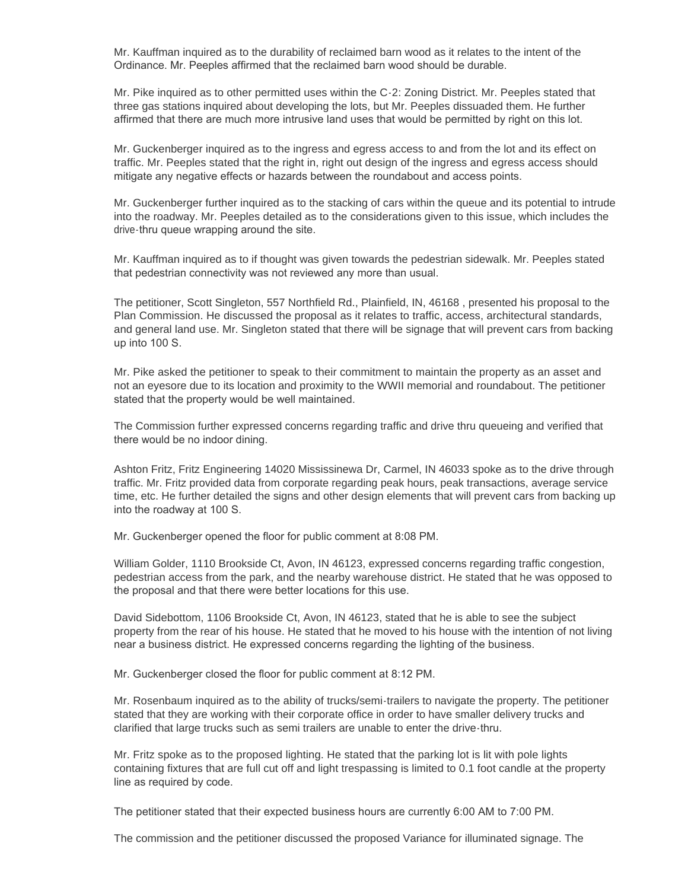Mr. Kauffman inquired as to the durability of reclaimed barn wood as it relates to the intent of the Ordinance. Mr. Peeples affirmed that the reclaimed barn wood should be durable.

Mr. Pike inquired as to other permitted uses within the C-2: Zoning District. Mr. Peeples stated that three gas stations inquired about developing the lots, but Mr. Peeples dissuaded them. He further affirmed that there are much more intrusive land uses that would be permitted by right on this lot.

Mr. Guckenberger inquired as to the ingress and egress access to and from the lot and its effect on traffic. Mr. Peeples stated that the right in, right out design of the ingress and egress access should mitigate any negative effects or hazards between the roundabout and access points.

Mr. Guckenberger further inquired as to the stacking of cars within the queue and its potential to intrude into the roadway. Mr. Peeples detailed as to the considerations given to this issue, which includes the drive-thru queue wrapping around the site.

Mr. Kauffman inquired as to if thought was given towards the pedestrian sidewalk. Mr. Peeples stated that pedestrian connectivity was not reviewed any more than usual.

The petitioner, Scott Singleton, 557 Northfield Rd., Plainfield, IN, 46168 , presented his proposal to the Plan Commission. He discussed the proposal as it relates to traffic, access, architectural standards, and general land use. Mr. Singleton stated that there will be signage that will prevent cars from backing up into 100 S.

Mr. Pike asked the petitioner to speak to their commitment to maintain the property as an asset and not an eyesore due to its location and proximity to the WWII memorial and roundabout. The petitioner stated that the property would be well maintained.

The Commission further expressed concerns regarding traffic and drive thru queueing and verified that there would be no indoor dining.

Ashton Fritz, Fritz Engineering 14020 Mississinewa Dr, Carmel, IN 46033 spoke as to the drive through traffic. Mr. Fritz provided data from corporate regarding peak hours, peak transactions, average service time, etc. He further detailed the signs and other design elements that will prevent cars from backing up into the roadway at 100 S.

Mr. Guckenberger opened the floor for public comment at 8:08 PM.

William Golder, 1110 Brookside Ct, Avon, IN 46123, expressed concerns regarding traffic congestion, pedestrian access from the park, and the nearby warehouse district. He stated that he was opposed to the proposal and that there were better locations for this use.

David Sidebottom, 1106 Brookside Ct, Avon, IN 46123, stated that he is able to see the subject property from the rear of his house. He stated that he moved to his house with the intention of not living near a business district. He expressed concerns regarding the lighting of the business.

Mr. Guckenberger closed the floor for public comment at 8:12 PM.

Mr. Rosenbaum inquired as to the ability of trucks/semi-trailers to navigate the property. The petitioner stated that they are working with their corporate office in order to have smaller delivery trucks and clarified that large trucks such as semi trailers are unable to enter the drive-thru.

Mr. Fritz spoke as to the proposed lighting. He stated that the parking lot is lit with pole lights containing fixtures that are full cut off and light trespassing is limited to 0.1 foot candle at the property line as required by code.

The petitioner stated that their expected business hours are currently 6:00 AM to 7:00 PM.

The commission and the petitioner discussed the proposed Variance for illuminated signage. The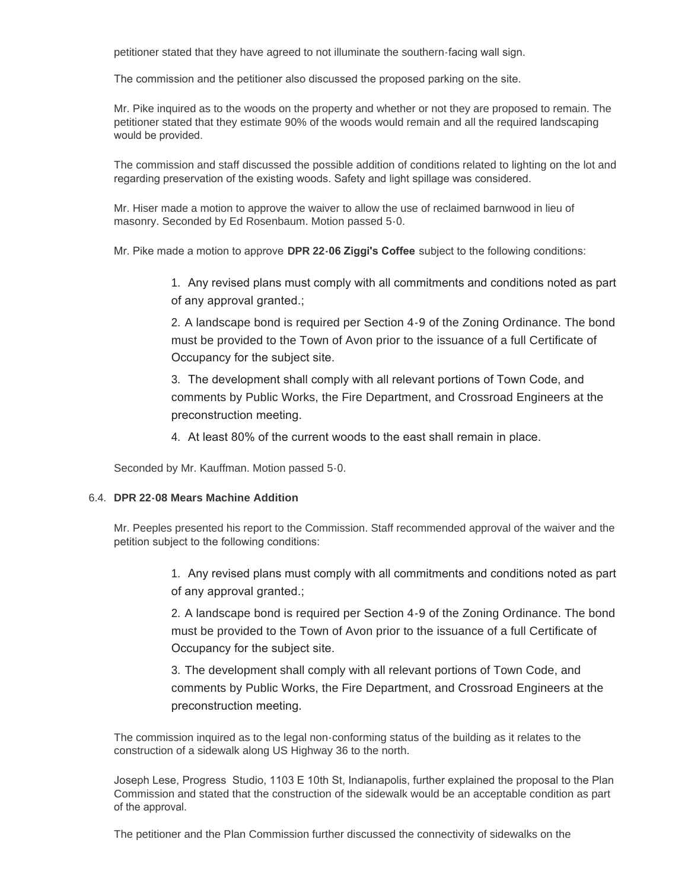petitioner stated that they have agreed to not illuminate the southern-facing wall sign.

The commission and the petitioner also discussed the proposed parking on the site.

Mr. Pike inquired as to the woods on the property and whether or not they are proposed to remain. The petitioner stated that they estimate 90% of the woods would remain and all the required landscaping would be provided.

The commission and staff discussed the possible addition of conditions related to lighting on the lot and regarding preservation of the existing woods. Safety and light spillage was considered.

Mr. Hiser made a motion to approve the waiver to allow the use of reclaimed barnwood in lieu of masonry. Seconded by Ed Rosenbaum. Motion passed 5-0.

Mr. Pike made a motion to approve **DPR 22-06 Ziggi's Coffee** subject to the following conditions:

1. Any revised plans must comply with all commitments and conditions noted as part of any approval granted.;

2. A landscape bond is required per Section 4-9 of the Zoning Ordinance. The bond must be provided to the Town of Avon prior to the issuance of a full Certificate of Occupancy for the subject site.

3. The development shall comply with all relevant portions of Town Code, and comments by Public Works, the Fire Department, and Crossroad Engineers at the preconstruction meeting.

4. At least 80% of the current woods to the east shall remain in place.

Seconded by Mr. Kauffman. Motion passed 5-0.

#### **DPR 22-08 Mears Machine Addition** 6.4.

Mr. Peeples presented his report to the Commission. Staff recommended approval of the waiver and the petition subject to the following conditions:

> 1. Any revised plans must comply with all commitments and conditions noted as part of any approval granted.;

> 2. A landscape bond is required per Section 4-9 of the Zoning Ordinance. The bond must be provided to the Town of Avon prior to the issuance of a full Certificate of Occupancy for the subject site.

3. The development shall comply with all relevant portions of Town Code, and comments by Public Works, the Fire Department, and Crossroad Engineers at the preconstruction meeting.

The commission inquired as to the legal non-conforming status of the building as it relates to the construction of a sidewalk along US Highway 36 to the north.

Joseph Lese, Progress Studio, 1103 E 10th St, Indianapolis, further explained the proposal to the Plan Commission and stated that the construction of the sidewalk would be an acceptable condition as part of the approval.

The petitioner and the Plan Commission further discussed the connectivity of sidewalks on the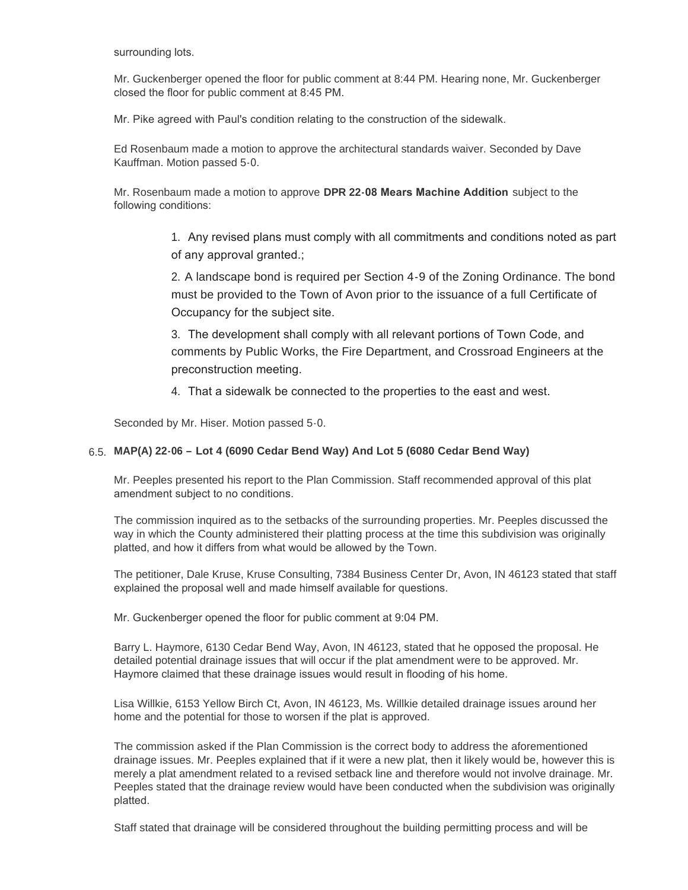surrounding lots.

Mr. Guckenberger opened the floor for public comment at 8:44 PM. Hearing none, Mr. Guckenberger closed the floor for public comment at 8:45 PM.

Mr. Pike agreed with Paul's condition relating to the construction of the sidewalk.

Ed Rosenbaum made a motion to approve the architectural standards waiver. Seconded by Dave Kauffman. Motion passed 5-0.

Mr. Rosenbaum made a motion to approve **DPR 22-08 Mears Machine Addition** subject to the following conditions:

> 1. Any revised plans must comply with all commitments and conditions noted as part of any approval granted.;

> 2. A landscape bond is required per Section 4-9 of the Zoning Ordinance. The bond must be provided to the Town of Avon prior to the issuance of a full Certificate of Occupancy for the subject site.

3. The development shall comply with all relevant portions of Town Code, and comments by Public Works, the Fire Department, and Crossroad Engineers at the preconstruction meeting.

4. That a sidewalk be connected to the properties to the east and west.

Seconded by Mr. Hiser. Motion passed 5-0.

## **MAP(A) 22-06 – Lot 4 (6090 Cedar Bend Way) And Lot 5 (6080 Cedar Bend Way)**  6.5.

Mr. Peeples presented his report to the Plan Commission. Staff recommended approval of this plat amendment subject to no conditions.

The commission inquired as to the setbacks of the surrounding properties. Mr. Peeples discussed the way in which the County administered their platting process at the time this subdivision was originally platted, and how it differs from what would be allowed by the Town.

The petitioner, Dale Kruse, Kruse Consulting, 7384 Business Center Dr, Avon, IN 46123 stated that staff explained the proposal well and made himself available for questions.

Mr. Guckenberger opened the floor for public comment at 9:04 PM.

Barry L. Haymore, 6130 Cedar Bend Way, Avon, IN 46123, stated that he opposed the proposal. He detailed potential drainage issues that will occur if the plat amendment were to be approved. Mr. Haymore claimed that these drainage issues would result in flooding of his home.

Lisa Willkie, 6153 Yellow Birch Ct, Avon, IN 46123, Ms. Willkie detailed drainage issues around her home and the potential for those to worsen if the plat is approved.

The commission asked if the Plan Commission is the correct body to address the aforementioned drainage issues. Mr. Peeples explained that if it were a new plat, then it likely would be, however this is merely a plat amendment related to a revised setback line and therefore would not involve drainage. Mr. Peeples stated that the drainage review would have been conducted when the subdivision was originally platted.

Staff stated that drainage will be considered throughout the building permitting process and will be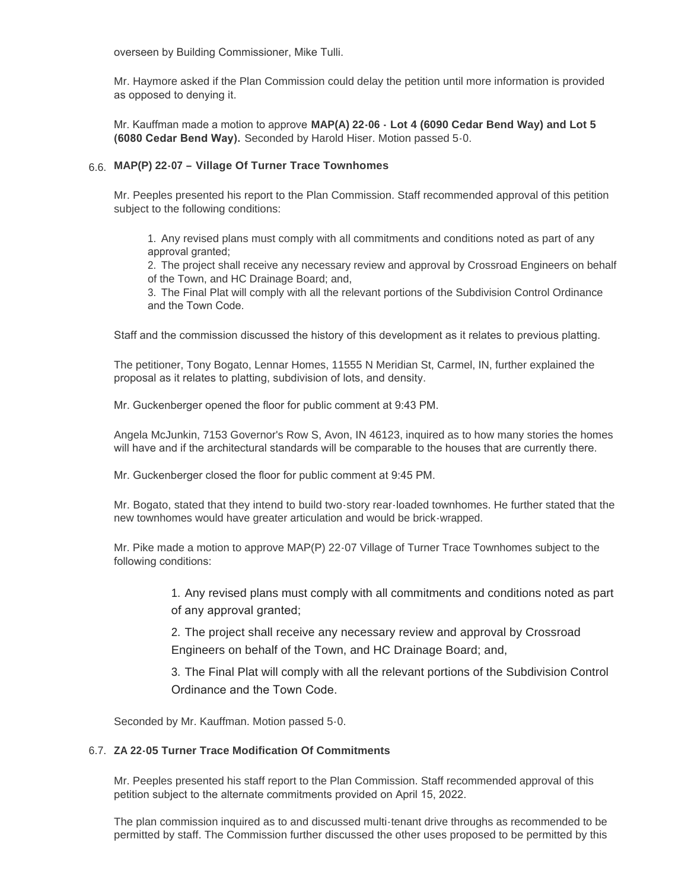overseen by Building Commissioner, Mike Tulli.

Mr. Haymore asked if the Plan Commission could delay the petition until more information is provided as opposed to denying it.

Mr. Kauffman made a motion to approve **MAP(A) 22-06 - Lot 4 (6090 Cedar Bend Way) and Lot 5 (6080 Cedar Bend Way).** Seconded by Harold Hiser. Motion passed 5-0.

## **MAP(P) 22-07 – Village Of Turner Trace Townhomes**  6.6.

Mr. Peeples presented his report to the Plan Commission. Staff recommended approval of this petition subject to the following conditions:

1. Any revised plans must comply with all commitments and conditions noted as part of any approval granted;

2. The project shall receive any necessary review and approval by Crossroad Engineers on behalf of the Town, and HC Drainage Board; and,

3. The Final Plat will comply with all the relevant portions of the Subdivision Control Ordinance and the Town Code.

Staff and the commission discussed the history of this development as it relates to previous platting.

The petitioner, Tony Bogato, Lennar Homes, 11555 N Meridian St, Carmel, IN, further explained the proposal as it relates to platting, subdivision of lots, and density.

Mr. Guckenberger opened the floor for public comment at 9:43 PM.

Angela McJunkin, 7153 Governor's Row S, Avon, IN 46123, inquired as to how many stories the homes will have and if the architectural standards will be comparable to the houses that are currently there.

Mr. Guckenberger closed the floor for public comment at 9:45 PM.

Mr. Bogato, stated that they intend to build two-story rear-loaded townhomes. He further stated that the new townhomes would have greater articulation and would be brick-wrapped.

Mr. Pike made a motion to approve MAP(P) 22-07 Village of Turner Trace Townhomes subject to the following conditions:

> 1. Any revised plans must comply with all commitments and conditions noted as part of any approval granted;

2. The project shall receive any necessary review and approval by Crossroad Engineers on behalf of the Town, and HC Drainage Board; and,

3. The Final Plat will comply with all the relevant portions of the Subdivision Control Ordinance and the Town Code.

Seconded by Mr. Kauffman. Motion passed 5-0.

#### 6.7. ZA 22-05 Turner Trace Modification Of Commitments

Mr. Peeples presented his staff report to the Plan Commission. Staff recommended approval of this petition subject to the alternate commitments provided on April 15, 2022.

The plan commission inquired as to and discussed multi-tenant drive throughs as recommended to be permitted by staff. The Commission further discussed the other uses proposed to be permitted by this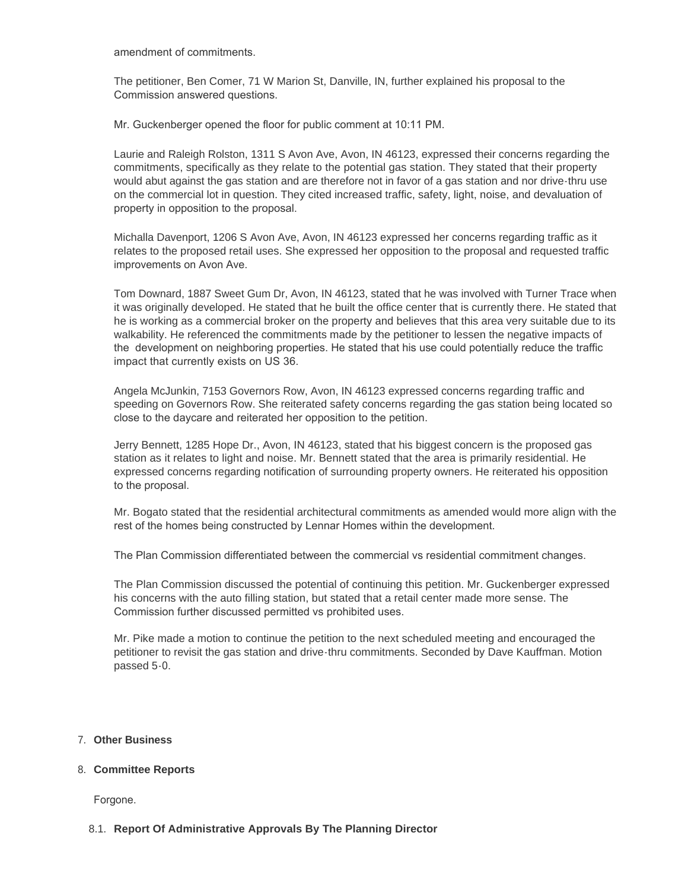amendment of commitments.

The petitioner, Ben Comer, 71 W Marion St, Danville, IN, further explained his proposal to the Commission answered questions.

Mr. Guckenberger opened the floor for public comment at 10:11 PM.

Laurie and Raleigh Rolston, 1311 S Avon Ave, Avon, IN 46123, expressed their concerns regarding the commitments, specifically as they relate to the potential gas station. They stated that their property would abut against the gas station and are therefore not in favor of a gas station and nor drive-thru use on the commercial lot in question. They cited increased traffic, safety, light, noise, and devaluation of property in opposition to the proposal.

Michalla Davenport, 1206 S Avon Ave, Avon, IN 46123 expressed her concerns regarding traffic as it relates to the proposed retail uses. She expressed her opposition to the proposal and requested traffic improvements on Avon Ave.

Tom Downard, 1887 Sweet Gum Dr, Avon, IN 46123, stated that he was involved with Turner Trace when it was originally developed. He stated that he built the office center that is currently there. He stated that he is working as a commercial broker on the property and believes that this area very suitable due to its walkability. He referenced the commitments made by the petitioner to lessen the negative impacts of the development on neighboring properties. He stated that his use could potentially reduce the traffic impact that currently exists on US 36.

Angela McJunkin, 7153 Governors Row, Avon, IN 46123 expressed concerns regarding traffic and speeding on Governors Row. She reiterated safety concerns regarding the gas station being located so close to the daycare and reiterated her opposition to the petition.

Jerry Bennett, 1285 Hope Dr., Avon, IN 46123, stated that his biggest concern is the proposed gas station as it relates to light and noise. Mr. Bennett stated that the area is primarily residential. He expressed concerns regarding notification of surrounding property owners. He reiterated his opposition to the proposal.

Mr. Bogato stated that the residential architectural commitments as amended would more align with the rest of the homes being constructed by Lennar Homes within the development.

The Plan Commission differentiated between the commercial vs residential commitment changes.

The Plan Commission discussed the potential of continuing this petition. Mr. Guckenberger expressed his concerns with the auto filling station, but stated that a retail center made more sense. The Commission further discussed permitted vs prohibited uses.

Mr. Pike made a motion to continue the petition to the next scheduled meeting and encouraged the petitioner to revisit the gas station and drive-thru commitments. Seconded by Dave Kauffman. Motion passed 5-0.

#### **Other Business** 7.

#### **Committee Reports** 8.

Forgone.

### **Report Of Administrative Approvals By The Planning Director** 8.1.